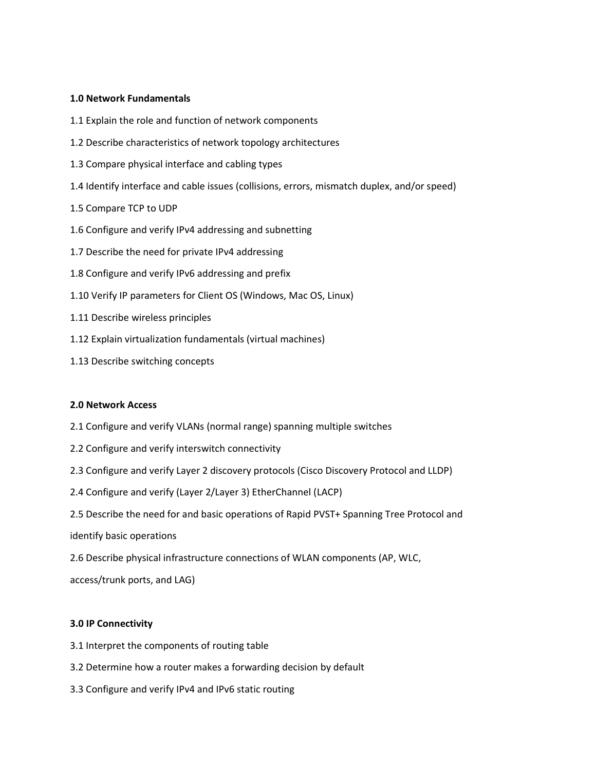# **1.0 Network Fundamentals**

- 1.1 Explain the role and function of network components
- 1.2 Describe characteristics of network topology architectures
- 1.3 Compare physical interface and cabling types
- 1.4 Identify interface and cable issues (collisions, errors, mismatch duplex, and/or speed)
- 1.5 Compare TCP to UDP
- 1.6 Configure and verify IPv4 addressing and subnetting
- 1.7 Describe the need for private IPv4 addressing
- 1.8 Configure and verify IPv6 addressing and prefix
- 1.10 Verify IP parameters for Client OS (Windows, Mac OS, Linux)
- 1.11 Describe wireless principles
- 1.12 Explain virtualization fundamentals (virtual machines)
- 1.13 Describe switching concepts

## **2.0 Network Access**

- 2.1 Configure and verify VLANs (normal range) spanning multiple switches
- 2.2 Configure and verify interswitch connectivity
- 2.3 Configure and verify Layer 2 discovery protocols (Cisco Discovery Protocol and LLDP)
- 2.4 Configure and verify (Layer 2/Layer 3) EtherChannel (LACP)
- 2.5 Describe the need for and basic operations of Rapid PVST+ Spanning Tree Protocol and

identify basic operations

2.6 Describe physical infrastructure connections of WLAN components (AP, WLC,

access/trunk ports, and LAG)

## **3.0 IP Connectivity**

- 3.1 Interpret the components of routing table
- 3.2 Determine how a router makes a forwarding decision by default
- 3.3 Configure and verify IPv4 and IPv6 static routing